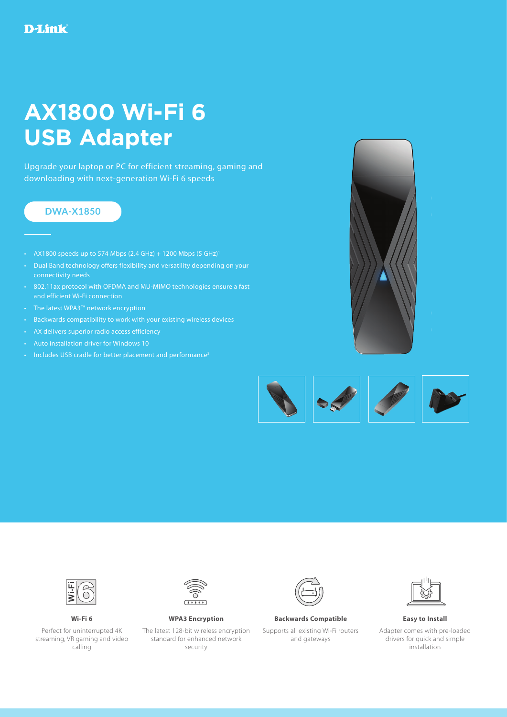## **AX1800 Wi-Fi 6 USB Adapter**

Upgrade your laptop or PC for efficient streaming, gaming and downloading with next-generation Wi-Fi 6 speeds

## **DWA-X1850**

- AX1800 speeds up to 574 Mbps  $(2.4 \text{ GHz}) + 1200 \text{ Mbps}$  (5 GHz)<sup>1</sup>
- Dual Band technology offers flexibility and versatility depending on your connectivity needs
- 802.11ax protocol with OFDMA and MU-MIMO technologies ensure a fast and efficient Wi-Fi connection
- The latest WPA3™ network encryption
- Backwards compatibility to work with your existing wireless devices
- AX delivers superior radio access efficiency
- Auto installation driver for Windows 10
- Includes USB cradle for better placement and performance<sup>2</sup>







Perfect for uninterrupted 4K streaming, VR gaming and video calling



The latest 128-bit wireless encryption standard for enhanced network security



## **Wi-Fi 6 WPA3 Encryption Backwards Compatible Easy to Install**

Supports all existing Wi-Fi routers and gateways



Adapter comes with pre-loaded drivers for quick and simple installation